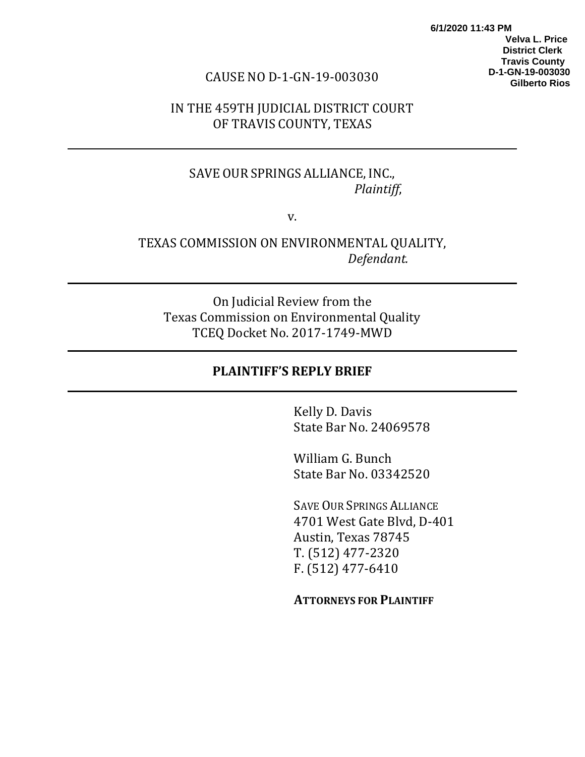**6/1/2020 11:43 PM Velva L. Price District Clerk Travis County D-1-GN-19-003030 Gilberto Rios**

#### CAUSE NO D-1-GN-19-003030

### IN THE 459TH JUDICIAL DISTRICT COURT OF TRAVIS COUNTY, TEXAS

## SAVE OUR SPRINGS ALLIANCE, INC.,  *Plaintiff*,

v.

### TEXAS COMMISSION ON ENVIRONMENTAL QUALITY,  *Defendant.*

On Judicial Review from the Texas Commission on Environmental Quality TCEQ Docket No. 2017-1749-MWD

#### **PLAINTIFF'S REPLY BRIEF**

Kelly D. Davis State Bar No. 24069578

William G. Bunch State Bar No. 03342520

SAVE OUR SPRINGS ALLIANCE 4701 West Gate Blvd, D-401 Austin, Texas 78745 T. (512) 477-2320 F. (512) 477-6410

**ATTORNEYS FOR PLAINTIFF**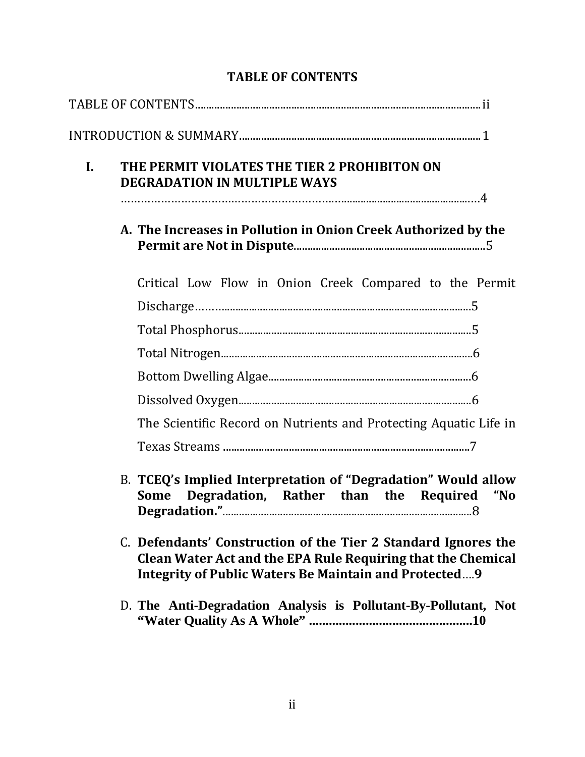| $\mathbf{I}$ . | THE PERMIT VIOLATES THE TIER 2 PROHIBITON ON<br><b>DEGRADATION IN MULTIPLE WAYS</b>                                                                                                                   |
|----------------|-------------------------------------------------------------------------------------------------------------------------------------------------------------------------------------------------------|
|                |                                                                                                                                                                                                       |
|                | A. The Increases in Pollution in Onion Creek Authorized by the                                                                                                                                        |
|                | Critical Low Flow in Onion Creek Compared to the Permit                                                                                                                                               |
|                |                                                                                                                                                                                                       |
|                |                                                                                                                                                                                                       |
|                |                                                                                                                                                                                                       |
|                |                                                                                                                                                                                                       |
|                |                                                                                                                                                                                                       |
|                | The Scientific Record on Nutrients and Protecting Aquatic Life in                                                                                                                                     |
|                |                                                                                                                                                                                                       |
|                | B. TCEQ's Implied Interpretation of "Degradation" Would allow<br>Degradation, Rather than the Required<br><b>Some</b><br>"No                                                                          |
|                | C. Defendants' Construction of the Tier 2 Standard Ignores the<br><b>Clean Water Act and the EPA Rule Requiring that the Chemical</b><br><b>Integrity of Public Waters Be Maintain and Protected9</b> |
|                | D. The Anti-Degradation Analysis is Pollutant-By-Pollutant, Not                                                                                                                                       |

# **TABLE OF CONTENTS**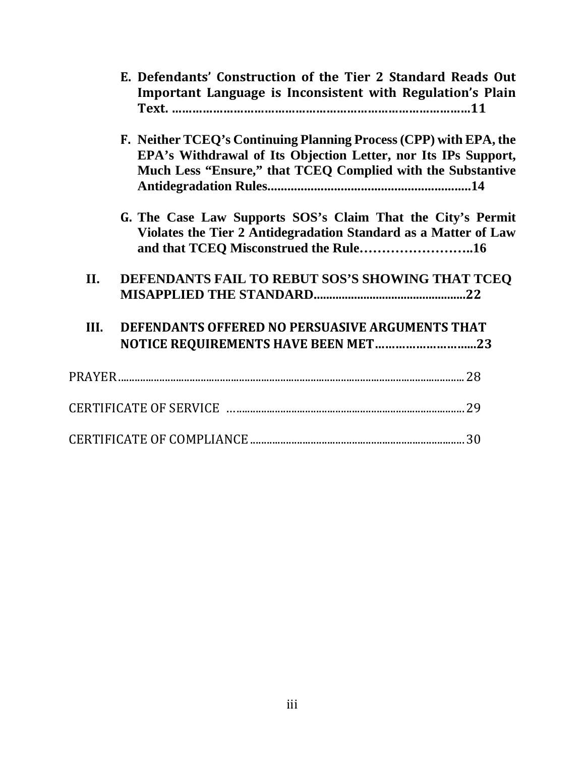|      | E. Defendants' Construction of the Tier 2 Standard Reads Out<br>Important Language is Inconsistent with Regulation's Plain                                                                         |  |
|------|----------------------------------------------------------------------------------------------------------------------------------------------------------------------------------------------------|--|
|      | F. Neither TCEQ's Continuing Planning Process (CPP) with EPA, the<br>EPA's Withdrawal of Its Objection Letter, nor Its IPs Support,<br>Much Less "Ensure," that TCEQ Complied with the Substantive |  |
|      | G. The Case Law Supports SOS's Claim That the City's Permit<br>Violates the Tier 2 Antidegradation Standard as a Matter of Law                                                                     |  |
| II.  | DEFENDANTS FAIL TO REBUT SOS'S SHOWING THAT TCEQ                                                                                                                                                   |  |
| III. | DEFENDANTS OFFERED NO PERSUASIVE ARGUMENTS THAT<br>NOTICE REQUIREMENTS HAVE BEEN MET23                                                                                                             |  |
|      |                                                                                                                                                                                                    |  |
|      |                                                                                                                                                                                                    |  |
|      |                                                                                                                                                                                                    |  |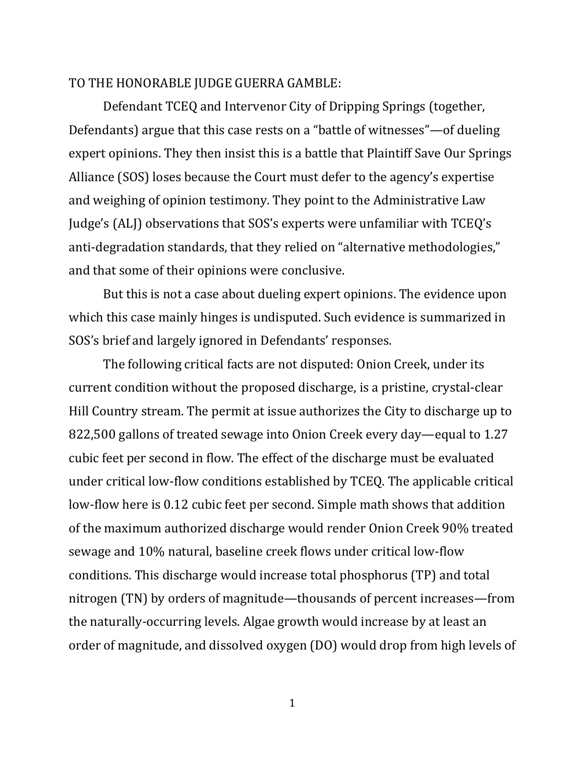#### TO THE HONORABLE JUDGE GUERRA GAMBLE:

Defendant TCEQ and Intervenor City of Dripping Springs (together, Defendants) argue that this case rests on a "battle of witnesses"—of dueling expert opinions. They then insist this is a battle that Plaintiff Save Our Springs Alliance (SOS) loses because the Court must defer to the agency's expertise and weighing of opinion testimony. They point to the Administrative Law Judge's (ALJ) observations that SOS's experts were unfamiliar with TCEQ's anti-degradation standards, that they relied on "alternative methodologies," and that some of their opinions were conclusive.

But this is not a case about dueling expert opinions. The evidence upon which this case mainly hinges is undisputed. Such evidence is summarized in SOS's brief and largely ignored in Defendants' responses.

The following critical facts are not disputed: Onion Creek, under its current condition without the proposed discharge, is a pristine, crystal-clear Hill Country stream. The permit at issue authorizes the City to discharge up to 822,500 gallons of treated sewage into Onion Creek every day—equal to 1.27 cubic feet per second in flow. The effect of the discharge must be evaluated under critical low-flow conditions established by TCEQ. The applicable critical low-flow here is 0.12 cubic feet per second. Simple math shows that addition of the maximum authorized discharge would render Onion Creek 90% treated sewage and 10% natural, baseline creek flows under critical low-flow conditions. This discharge would increase total phosphorus (TP) and total nitrogen (TN) by orders of magnitude—thousands of percent increases—from the naturally-occurring levels. Algae growth would increase by at least an order of magnitude, and dissolved oxygen (DO) would drop from high levels of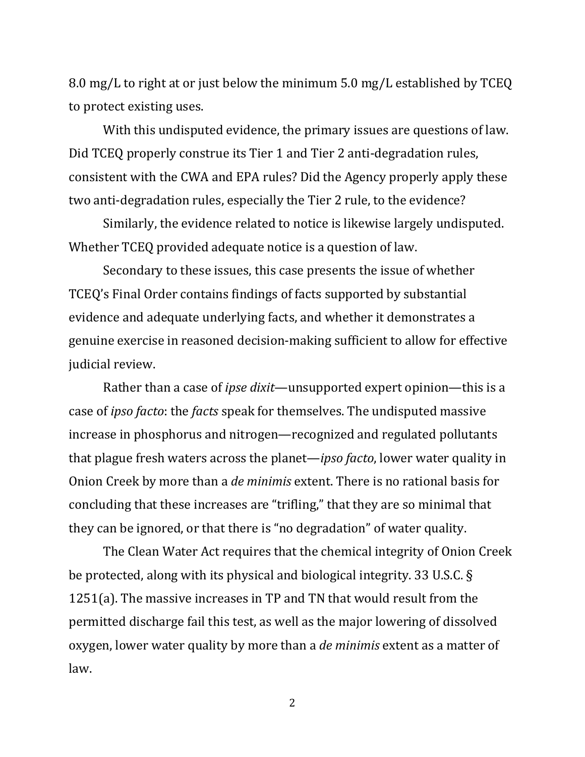8.0 mg/L to right at or just below the minimum 5.0 mg/L established by TCEQ to protect existing uses.

With this undisputed evidence, the primary issues are questions of law. Did TCEQ properly construe its Tier 1 and Tier 2 anti-degradation rules, consistent with the CWA and EPA rules? Did the Agency properly apply these two anti-degradation rules, especially the Tier 2 rule, to the evidence?

Similarly, the evidence related to notice is likewise largely undisputed. Whether TCEQ provided adequate notice is a question of law.

Secondary to these issues, this case presents the issue of whether TCEQ's Final Order contains findings of facts supported by substantial evidence and adequate underlying facts, and whether it demonstrates a genuine exercise in reasoned decision-making sufficient to allow for effective judicial review.

Rather than a case of *ipse dixit*—unsupported expert opinion—this is a case of *ipso facto*: the *facts* speak for themselves. The undisputed massive increase in phosphorus and nitrogen—recognized and regulated pollutants that plague fresh waters across the planet—*ipso facto*, lower water quality in Onion Creek by more than a *de minimis* extent. There is no rational basis for concluding that these increases are "trifling," that they are so minimal that they can be ignored, or that there is "no degradation" of water quality.

The Clean Water Act requires that the chemical integrity of Onion Creek be protected, along with its physical and biological integrity. 33 U.S.C. § 1251(a). The massive increases in TP and TN that would result from the permitted discharge fail this test, as well as the major lowering of dissolved oxygen, lower water quality by more than a *de minimis* extent as a matter of law.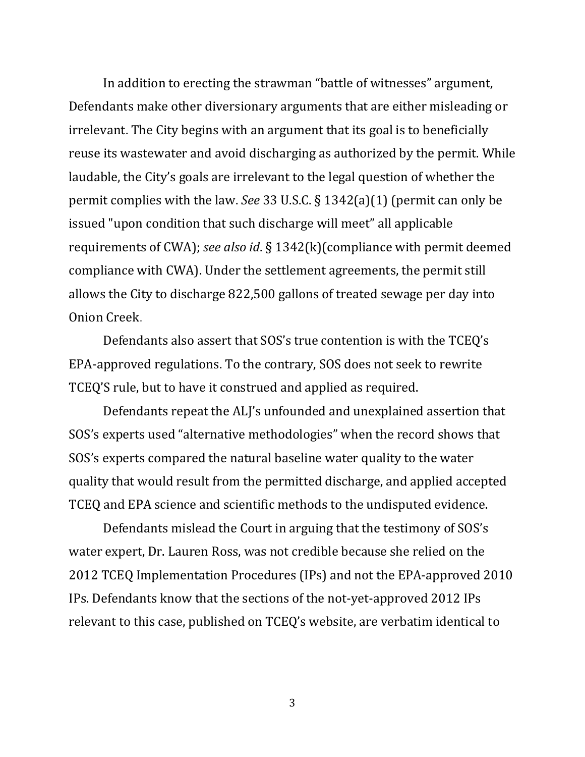In addition to erecting the strawman "battle of witnesses" argument, Defendants make other diversionary arguments that are either misleading or irrelevant. The City begins with an argument that its goal is to beneficially reuse its wastewater and avoid discharging as authorized by the permit. While laudable, the City's goals are irrelevant to the legal question of whether the permit complies with the law. *See* 33 U.S.C. § 1342(a)(1) (permit can only be issued "upon condition that such discharge will meet" all applicable requirements of CWA); *see also id*. § 1342(k)(compliance with permit deemed compliance with CWA). Under the settlement agreements, the permit still allows the City to discharge 822,500 gallons of treated sewage per day into Onion Creek.

Defendants also assert that SOS's true contention is with the TCEQ's EPA-approved regulations. To the contrary, SOS does not seek to rewrite TCEQ'S rule, but to have it construed and applied as required.

Defendants repeat the ALJ's unfounded and unexplained assertion that SOS's experts used "alternative methodologies" when the record shows that SOS's experts compared the natural baseline water quality to the water quality that would result from the permitted discharge, and applied accepted TCEQ and EPA science and scientific methods to the undisputed evidence.

Defendants mislead the Court in arguing that the testimony of SOS's water expert, Dr. Lauren Ross, was not credible because she relied on the 2012 TCEQ Implementation Procedures (IPs) and not the EPA-approved 2010 IPs. Defendants know that the sections of the not-yet-approved 2012 IPs relevant to this case, published on TCEQ's website, are verbatim identical to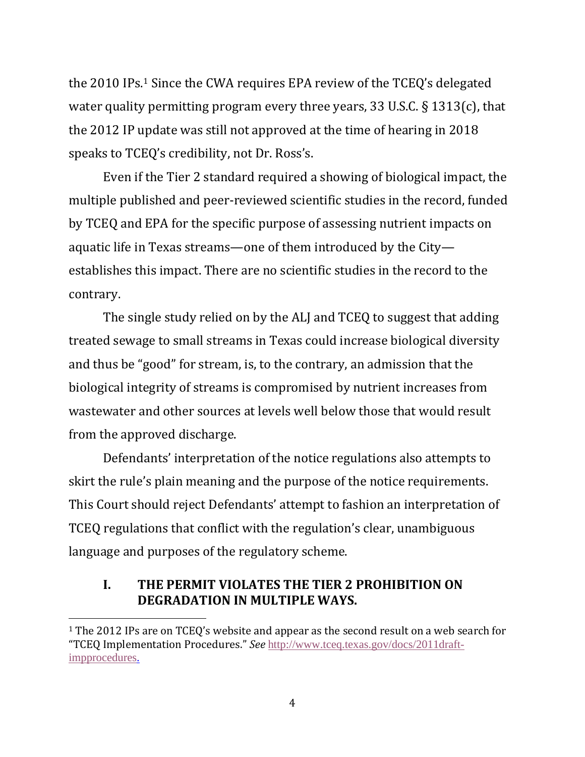the 2010 IPs.[1](#page-6-0) Since the CWA requires EPA review of the TCEQ's delegated water quality permitting program every three years, 33 U.S.C. § 1313(c), that the 2012 IP update was still not approved at the time of hearing in 2018 speaks to TCEQ's credibility, not Dr. Ross's.

Even if the Tier 2 standard required a showing of biological impact, the multiple published and peer-reviewed scientific studies in the record, funded by TCEQ and EPA for the specific purpose of assessing nutrient impacts on aquatic life in Texas streams—one of them introduced by the City establishes this impact. There are no scientific studies in the record to the contrary.

The single study relied on by the ALJ and TCEQ to suggest that adding treated sewage to small streams in Texas could increase biological diversity and thus be "good" for stream, is, to the contrary, an admission that the biological integrity of streams is compromised by nutrient increases from wastewater and other sources at levels well below those that would result from the approved discharge.

Defendants' interpretation of the notice regulations also attempts to skirt the rule's plain meaning and the purpose of the notice requirements. This Court should reject Defendants' attempt to fashion an interpretation of TCEQ regulations that conflict with the regulation's clear, unambiguous language and purposes of the regulatory scheme.

#### **I. THE PERMIT VIOLATES THE TIER 2 PROHIBITION ON DEGRADATION IN MULTIPLE WAYS.**

<span id="page-6-0"></span><sup>&</sup>lt;sup>1</sup> The 2012 IPs are on TCEO's website and appear as the second result on a web search for "TCEQ Implementation Procedures." *See* [http://www.tceq.texas.gov/docs/2011draft](https://www.google.com/url?sa=t&rct=j&q=&esrc=s&source=web&cd=&ved=2ahUKEwjs3LjKi-LpAhXuna0KHWYcBPMQFjACegQIAhAB&url=https%3A%2F%2Fwww.tceq.texas.gov%2Fassets%2Fpublic%2Fpermitting%2Fwaterquality%2Fstandards%2Fdocs%2F2011draft-impprocedures.pdf&usg=AOvVaw3RUY94jIua23bXDN47lWjs)[impprocedures.](https://www.google.com/url?sa=t&rct=j&q=&esrc=s&source=web&cd=&ved=2ahUKEwjs3LjKi-LpAhXuna0KHWYcBPMQFjACegQIAhAB&url=https%3A%2F%2Fwww.tceq.texas.gov%2Fassets%2Fpublic%2Fpermitting%2Fwaterquality%2Fstandards%2Fdocs%2F2011draft-impprocedures.pdf&usg=AOvVaw3RUY94jIua23bXDN47lWjs)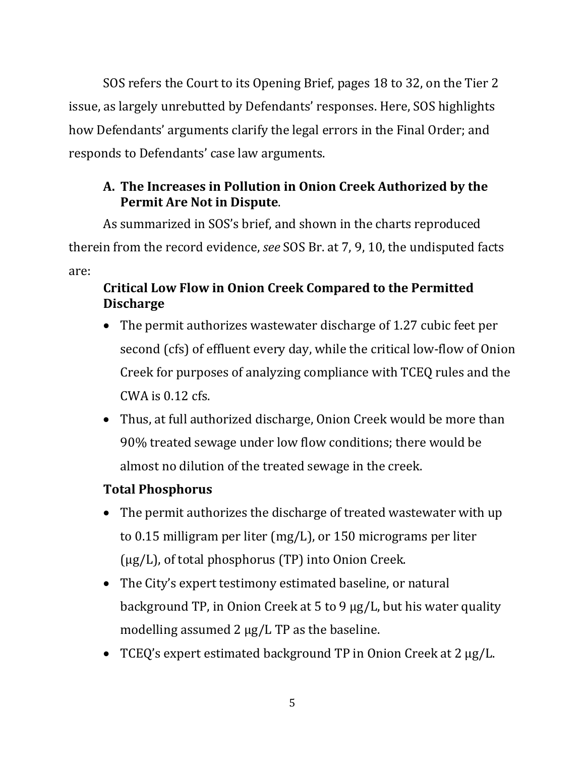SOS refers the Court to its Opening Brief, pages 18 to 32, on the Tier 2 issue, as largely unrebutted by Defendants' responses. Here, SOS highlights how Defendants' arguments clarify the legal errors in the Final Order; and responds to Defendants' case law arguments.

# **A. The Increases in Pollution in Onion Creek Authorized by the Permit Are Not in Dispute**.

As summarized in SOS's brief, and shown in the charts reproduced therein from the record evidence, *see* SOS Br. at 7, 9, 10, the undisputed facts are:

# **Critical Low Flow in Onion Creek Compared to the Permitted Discharge**

- The permit authorizes wastewater discharge of 1.27 cubic feet per second (cfs) of effluent every day, while the critical low-flow of Onion Creek for purposes of analyzing compliance with TCEQ rules and the  $CWA$  is  $0.12$  cfs.
- Thus, at full authorized discharge, Onion Creek would be more than 90% treated sewage under low flow conditions; there would be almost no dilution of the treated sewage in the creek.

# **Total Phosphorus**

- The permit authorizes the discharge of treated wastewater with up to 0.15 milligram per liter (mg/L), or 150 micrograms per liter (µg/L), of total phosphorus (TP) into Onion Creek.
- The City's expert testimony estimated baseline, or natural background TP, in Onion Creek at 5 to 9 µg/L, but his water quality modelling assumed 2  $\mu$ g/L TP as the baseline.
- TCEQ's expert estimated background TP in Onion Creek at 2 µg/L.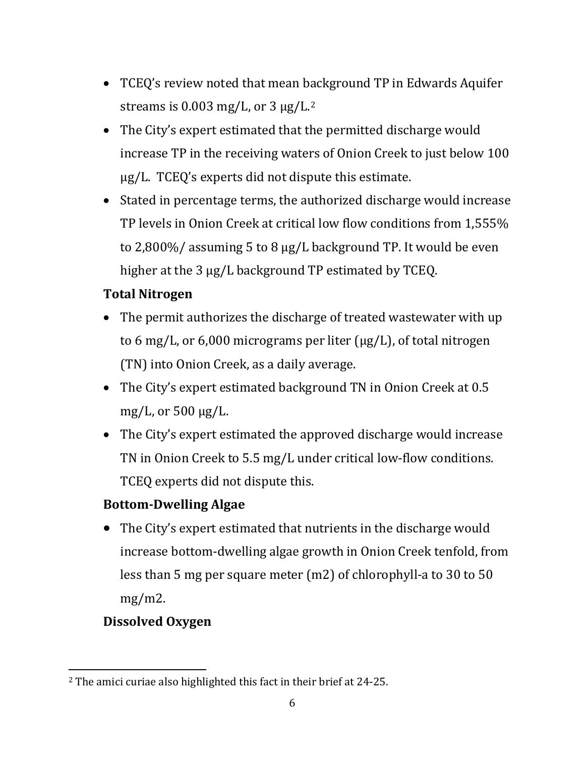- TCEQ's review noted that mean background TP in Edwards Aquifer streams is  $0.003$  mg/L, or  $3 \mu$ g/L.<sup>[2](#page-8-0)</sup>
- The City's expert estimated that the permitted discharge would increase TP in the receiving waters of Onion Creek to just below 100 µg/L. TCEQ's experts did not dispute this estimate.
- Stated in percentage terms, the authorized discharge would increase TP levels in Onion Creek at critical low flow conditions from 1,555% to 2,800%/ assuming 5 to 8 µg/L background TP. It would be even higher at the 3 µg/L background TP estimated by TCEQ.

# **Total Nitrogen**

- The permit authorizes the discharge of treated wastewater with up to 6 mg/L, or 6,000 micrograms per liter  $(\mu g/L)$ , of total nitrogen (TN) into Onion Creek, as a daily average.
- The City's expert estimated background TN in Onion Creek at 0.5 mg/L, or 500 µg/L.
- The City's expert estimated the approved discharge would increase TN in Onion Creek to 5.5 mg/L under critical low-flow conditions. TCEQ experts did not dispute this.

# **Bottom-Dwelling Algae**

• The City's expert estimated that nutrients in the discharge would increase bottom-dwelling algae growth in Onion Creek tenfold, from less than 5 mg per square meter (m2) of chlorophyll-a to 30 to 50  $mg/m2$ .

# **Dissolved Oxygen**

<span id="page-8-0"></span><sup>2</sup> The amici curiae also highlighted this fact in their brief at 24-25.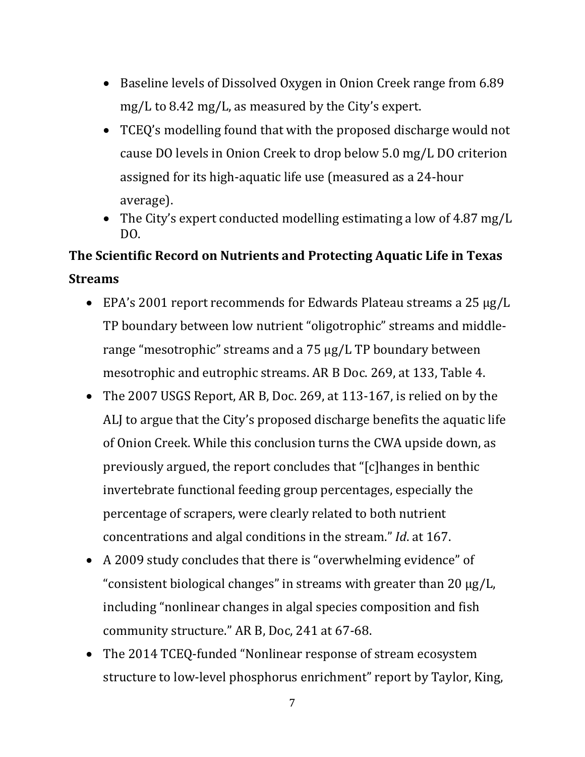- Baseline levels of Dissolved Oxygen in Onion Creek range from 6.89 mg/L to 8.42 mg/L, as measured by the City's expert.
- TCEQ's modelling found that with the proposed discharge would not cause DO levels in Onion Creek to drop below 5.0 mg/L DO criterion assigned for its high-aquatic life use (measured as a 24-hour average).
- The City's expert conducted modelling estimating a low of 4.87 mg/L DO.

# **The Scientific Record on Nutrients and Protecting Aquatic Life in Texas Streams**

- EPA's 2001 report recommends for Edwards Plateau streams a 25 µg/L TP boundary between low nutrient "oligotrophic" streams and middlerange "mesotrophic" streams and a 75 µg/L TP boundary between mesotrophic and eutrophic streams. AR B Doc. 269, at 133, Table 4.
- The 2007 USGS Report, AR B, Doc. 269, at 113-167, is relied on by the ALJ to argue that the City's proposed discharge benefits the aquatic life of Onion Creek. While this conclusion turns the CWA upside down, as previously argued, the report concludes that "[c]hanges in benthic invertebrate functional feeding group percentages, especially the percentage of scrapers, were clearly related to both nutrient concentrations and algal conditions in the stream." *Id*. at 167.
- A 2009 study concludes that there is "overwhelming evidence" of "consistent biological changes" in streams with greater than 20 µg/L, including "nonlinear changes in algal species composition and fish community structure." AR B, Doc, 241 at 67-68.
- The 2014 TCEQ-funded "Nonlinear response of stream ecosystem structure to low-level phosphorus enrichment" report by Taylor, King,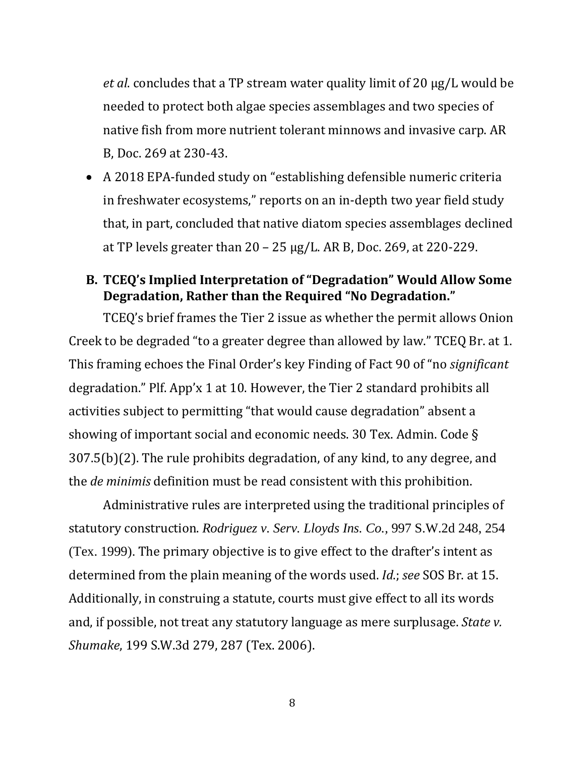*et al*. concludes that a TP stream water quality limit of 20 µg/L would be needed to protect both algae species assemblages and two species of native fish from more nutrient tolerant minnows and invasive carp. AR B, Doc. 269 at 230-43.

• A 2018 EPA-funded study on "establishing defensible numeric criteria in freshwater ecosystems," reports on an in-depth two year field study that, in part, concluded that native diatom species assemblages declined at TP levels greater than  $20 - 25 \mu g/L$ . AR B, Doc. 269, at 220-229.

## **B. TCEQ's Implied Interpretation of "Degradation" Would Allow Some Degradation, Rather than the Required "No Degradation."**

TCEQ's brief frames the Tier 2 issue as whether the permit allows Onion Creek to be degraded "to a greater degree than allowed by law." TCEQ Br. at 1. This framing echoes the Final Order's key Finding of Fact 90 of "no *significant* degradation." Plf. App'x 1 at 10. However, the Tier 2 standard prohibits all activities subject to permitting "that would cause degradation" absent a showing of important social and economic needs. 30 Tex. Admin. Code § 307.5(b)(2). The rule prohibits degradation, of any kind, to any degree, and the *de minimis* definition must be read consistent with this prohibition.

Administrative rules are interpreted using the traditional principles of statutory construction. *Rodriguez v. Serv. Lloyds Ins. Co.,* 997 S.W.2d 248, 254 (Tex. 1999). The primary objective is to give effect to the drafter's intent as determined from the plain meaning of the words used. *Id*.; *see* SOS Br. at 15. Additionally, in construing a statute, courts must give effect to all its words and, if possible, not treat any statutory language as mere surplusage. *State v. Shumake*, 199 S.W.3d 279, 287 (Tex. 2006).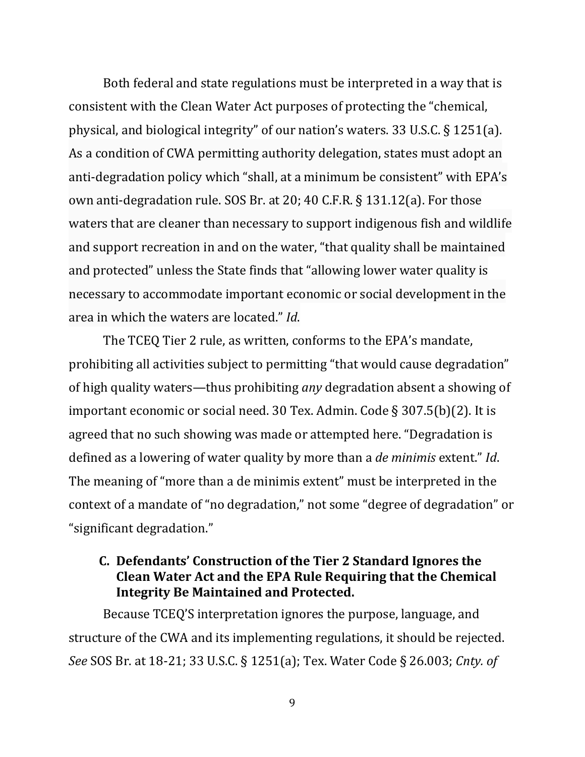Both federal and state regulations must be interpreted in a way that is consistent with the Clean Water Act purposes of protecting the "chemical, physical, and biological integrity" of our nation's waters. 33 U.S.C. § 1251(a). As a condition of CWA permitting authority delegation, states must adopt an anti-degradation policy which "shall, at a minimum be consistent" with EPA's own anti-degradation rule. SOS Br. at 20; 40 C.F.R. § 131.12(a). For those waters that are cleaner than necessary to support indigenous fish and wildlife and support recreation in and on the water, "that quality shall be maintained and protected" unless the State finds that "allowing lower water quality is necessary to accommodate important economic or social development in the area in which the waters are located." *Id*.

The TCEQ Tier 2 rule, as written, conforms to the EPA's mandate, prohibiting all activities subject to permitting "that would cause degradation" of high quality waters—thus prohibiting *any* degradation absent a showing of important economic or social need. 30 Tex. Admin. Code § 307.5(b)(2). It is agreed that no such showing was made or attempted here. "Degradation is defined as a lowering of water quality by more than a *de minimis* extent." *Id*. The meaning of "more than a de minimis extent" must be interpreted in the context of a mandate of "no degradation," not some "degree of degradation" or "significant degradation."

## **C. Defendants' Construction of the Tier 2 Standard Ignores the Clean Water Act and the EPA Rule Requiring that the Chemical Integrity Be Maintained and Protected.**

Because TCEQ'S interpretation ignores the purpose, language, and structure of the CWA and its implementing regulations, it should be rejected. *See* SOS Br. at 18-21; 33 U.S.C. § 1251(a); Tex. Water Code § 26.003; *Cnty. of*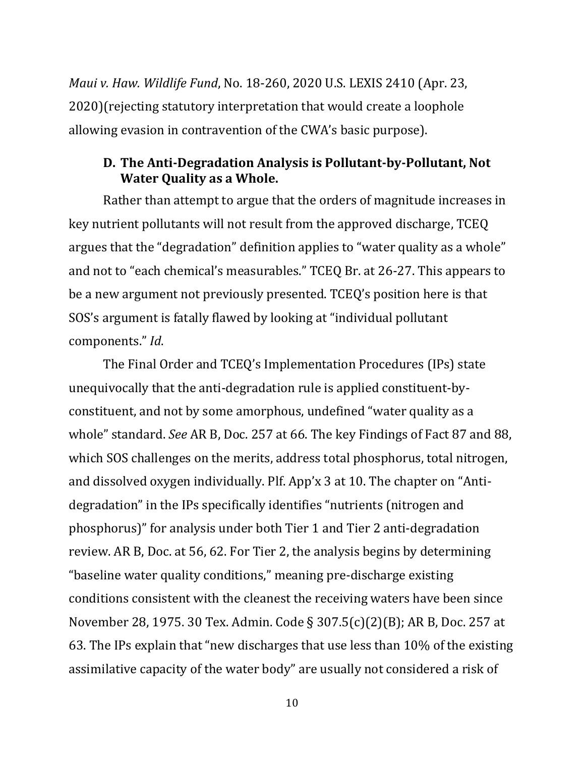*Maui v. Haw. Wildlife Fund*, No. 18-260, 2020 U.S. LEXIS 2410 (Apr. 23, 2020)(rejecting statutory interpretation that would create a loophole allowing evasion in contravention of the CWA's basic purpose).

## **D. The Anti-Degradation Analysis is Pollutant-by-Pollutant, Not Water Quality as a Whole.**

Rather than attempt to argue that the orders of magnitude increases in key nutrient pollutants will not result from the approved discharge, TCEQ argues that the "degradation" definition applies to "water quality as a whole" and not to "each chemical's measurables." TCEQ Br. at 26-27. This appears to be a new argument not previously presented. TCEQ's position here is that SOS's argument is fatally flawed by looking at "individual pollutant components." *Id*.

The Final Order and TCEQ's Implementation Procedures (IPs) state unequivocally that the anti-degradation rule is applied constituent-byconstituent, and not by some amorphous, undefined "water quality as a whole" standard. *See* AR B, Doc. 257 at 66. The key Findings of Fact 87 and 88, which SOS challenges on the merits, address total phosphorus, total nitrogen, and dissolved oxygen individually. Plf. App'x 3 at 10. The chapter on "Antidegradation" in the IPs specifically identifies "nutrients (nitrogen and phosphorus)" for analysis under both Tier 1 and Tier 2 anti-degradation review. AR B, Doc. at 56, 62. For Tier 2, the analysis begins by determining "baseline water quality conditions," meaning pre-discharge existing conditions consistent with the cleanest the receiving waters have been since November 28, 1975. 30 Tex. Admin. Code § 307.5(c)(2)(B); AR B, Doc. 257 at 63. The IPs explain that "new discharges that use less than 10% of the existing assimilative capacity of the water body" are usually not considered a risk of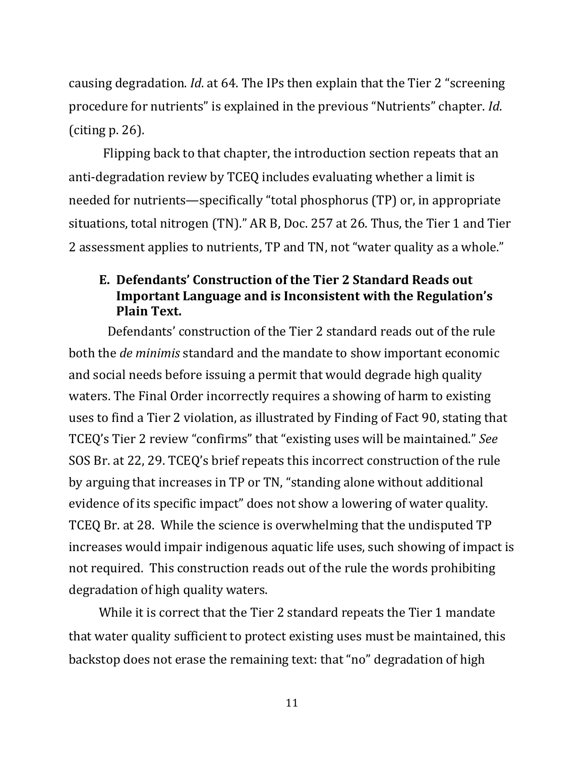causing degradation. *Id*. at 64. The IPs then explain that the Tier 2 "screening procedure for nutrients" is explained in the previous "Nutrients" chapter. *Id*. (citing p. 26).

Flipping back to that chapter, the introduction section repeats that an anti-degradation review by TCEQ includes evaluating whether a limit is needed for nutrients—specifically "total phosphorus (TP) or, in appropriate situations, total nitrogen (TN)." AR B, Doc. 257 at 26. Thus, the Tier 1 and Tier 2 assessment applies to nutrients, TP and TN, not "water quality as a whole."

## **E. Defendants' Construction of the Tier 2 Standard Reads out Important Language and is Inconsistent with the Regulation's Plain Text.**

Defendants' construction of the Tier 2 standard reads out of the rule both the *de minimis* standard and the mandate to show important economic and social needs before issuing a permit that would degrade high quality waters. The Final Order incorrectly requires a showing of harm to existing uses to find a Tier 2 violation, as illustrated by Finding of Fact 90, stating that TCEQ's Tier 2 review "confirms" that "existing uses will be maintained." *See* SOS Br. at 22, 29. TCEQ's brief repeats this incorrect construction of the rule by arguing that increases in TP or TN, "standing alone without additional evidence of its specific impact" does not show a lowering of water quality. TCEQ Br. at 28. While the science is overwhelming that the undisputed TP increases would impair indigenous aquatic life uses, such showing of impact is not required. This construction reads out of the rule the words prohibiting degradation of high quality waters.

While it is correct that the Tier 2 standard repeats the Tier 1 mandate that water quality sufficient to protect existing uses must be maintained, this backstop does not erase the remaining text: that "no" degradation of high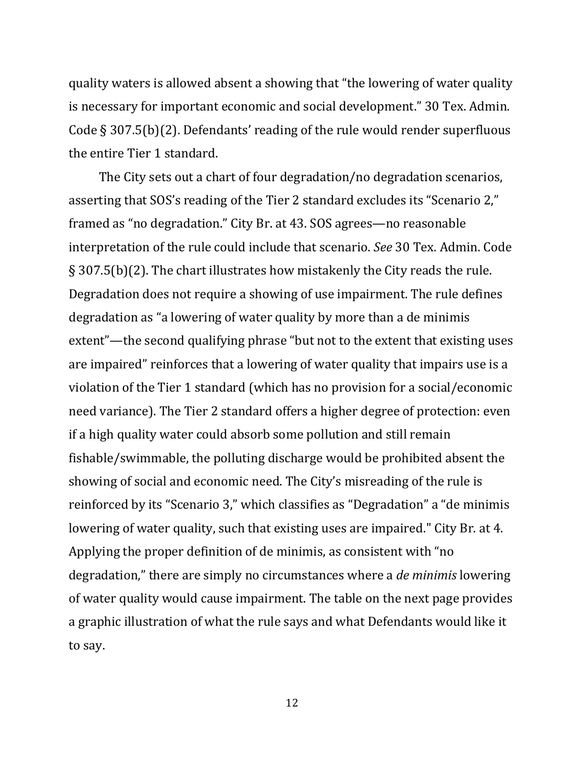quality waters is allowed absent a showing that "the lowering of water quality is necessary for important economic and social development." 30 Tex. Admin. Code § 307.5(b)(2). Defendants' reading of the rule would render superfluous the entire Tier 1 standard.

The City sets out a chart of four degradation/no degradation scenarios, asserting that SOS's reading of the Tier 2 standard excludes its "Scenario 2," framed as "no degradation." City Br. at 43. SOS agrees—no reasonable interpretation of the rule could include that scenario. *See* 30 Tex. Admin. Code § 307.5(b)(2). The chart illustrates how mistakenly the City reads the rule. Degradation does not require a showing of use impairment. The rule defines degradation as "a lowering of water quality by more than a de minimis extent"—the second qualifying phrase "but not to the extent that existing uses are impaired" reinforces that a lowering of water quality that impairs use is a violation of the Tier 1 standard (which has no provision for a social/economic need variance). The Tier 2 standard offers a higher degree of protection: even if a high quality water could absorb some pollution and still remain fishable/swimmable, the polluting discharge would be prohibited absent the showing of social and economic need. The City's misreading of the rule is reinforced by its "Scenario 3," which classifies as "Degradation" a "de minimis lowering of water quality, such that existing uses are impaired." City Br. at 4. Applying the proper definition of de minimis, as consistent with "no degradation," there are simply no circumstances where a *de minimis* lowering of water quality would cause impairment. The table on the next page provides a graphic illustration of what the rule says and what Defendants would like it to say.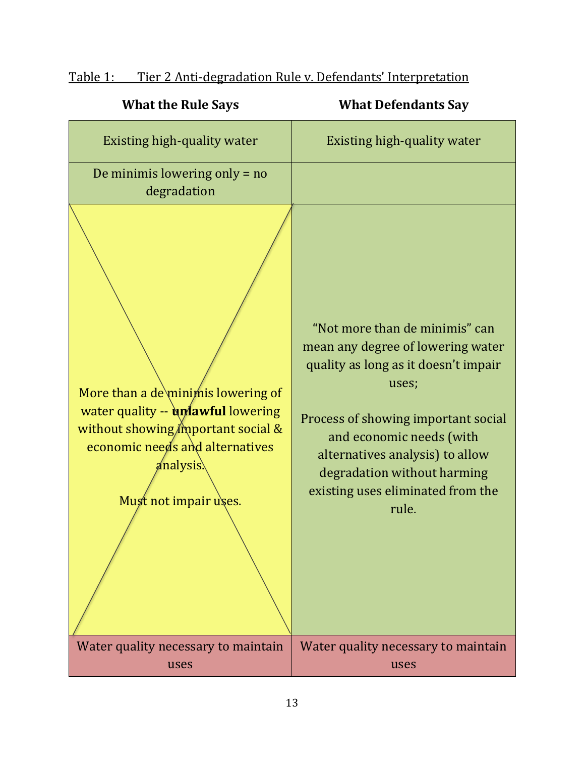| <b>What the Rule Says</b>                                                                                                                                                               | <b>What Defendants Say</b>                                                                                                                                                                                                                                                                              |
|-----------------------------------------------------------------------------------------------------------------------------------------------------------------------------------------|---------------------------------------------------------------------------------------------------------------------------------------------------------------------------------------------------------------------------------------------------------------------------------------------------------|
| Existing high-quality water                                                                                                                                                             | Existing high-quality water                                                                                                                                                                                                                                                                             |
| De minimis lowering only $=$ no<br>degradation                                                                                                                                          |                                                                                                                                                                                                                                                                                                         |
| More than a de\minimis lowering of<br>water quality -- unlawful lowering<br>without showing my portant social &<br>economic needs and alternatives<br>analysis<br>Must not impair uses. | "Not more than de minimis" can<br>mean any degree of lowering water<br>quality as long as it doesn't impair<br>uses;<br>Process of showing important social<br>and economic needs (with<br>alternatives analysis) to allow<br>degradation without harming<br>existing uses eliminated from the<br>rule. |
| Water quality necessary to maintain<br>uses                                                                                                                                             | Water quality necessary to maintain<br>uses                                                                                                                                                                                                                                                             |

# Table 1: Tier 2 Anti-degradation Rule v. Defendants' Interpretation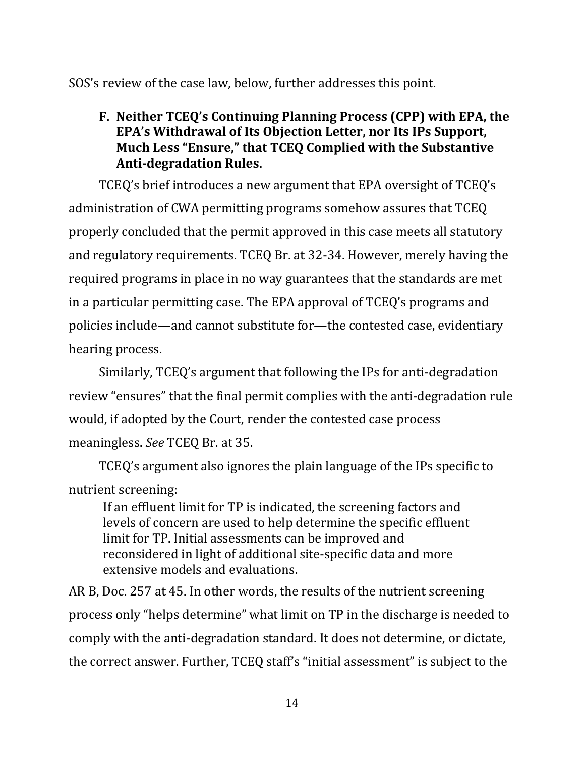SOS's review of the case law, below, further addresses this point.

# **F. Neither TCEQ's Continuing Planning Process (CPP) with EPA, the EPA's Withdrawal of Its Objection Letter, nor Its IPs Support, Much Less "Ensure," that TCEQ Complied with the Substantive Anti-degradation Rules.**

TCEQ's brief introduces a new argument that EPA oversight of TCEQ's administration of CWA permitting programs somehow assures that TCEQ properly concluded that the permit approved in this case meets all statutory and regulatory requirements. TCEQ Br. at 32-34. However, merely having the required programs in place in no way guarantees that the standards are met in a particular permitting case. The EPA approval of TCEQ's programs and policies include—and cannot substitute for—the contested case, evidentiary hearing process.

Similarly, TCEQ's argument that following the IPs for anti-degradation review "ensures" that the final permit complies with the anti-degradation rule would, if adopted by the Court, render the contested case process meaningless. *See* TCEQ Br. at 35.

TCEQ's argument also ignores the plain language of the IPs specific to nutrient screening:

If an effluent limit for TP is indicated, the screening factors and levels of concern are used to help determine the specific effluent limit for TP. Initial assessments can be improved and reconsidered in light of additional site-specific data and more extensive models and evaluations.

AR B, Doc. 257 at 45. In other words, the results of the nutrient screening process only "helps determine" what limit on TP in the discharge is needed to comply with the anti-degradation standard. It does not determine, or dictate, the correct answer. Further, TCEQ staff's "initial assessment" is subject to the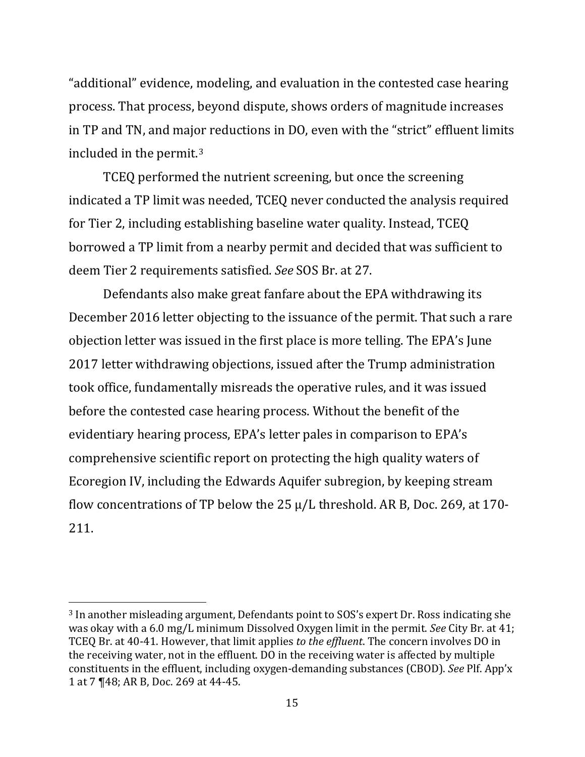"additional" evidence, modeling, and evaluation in the contested case hearing process. That process, beyond dispute, shows orders of magnitude increases in TP and TN, and major reductions in DO, even with the "strict" effluent limits included in the permit.[3](#page-17-0)

TCEQ performed the nutrient screening, but once the screening indicated a TP limit was needed, TCEQ never conducted the analysis required for Tier 2, including establishing baseline water quality. Instead, TCEQ borrowed a TP limit from a nearby permit and decided that was sufficient to deem Tier 2 requirements satisfied. *See* SOS Br. at 27.

Defendants also make great fanfare about the EPA withdrawing its December 2016 letter objecting to the issuance of the permit. That such a rare objection letter was issued in the first place is more telling. The EPA's June 2017 letter withdrawing objections, issued after the Trump administration took office, fundamentally misreads the operative rules, and it was issued before the contested case hearing process. Without the benefit of the evidentiary hearing process, EPA's letter pales in comparison to EPA's comprehensive scientific report on protecting the high quality waters of Ecoregion IV, including the Edwards Aquifer subregion, by keeping stream flow concentrations of TP below the 25 µ/L threshold. AR B, Doc. 269, at 170- 211.

<span id="page-17-0"></span><sup>3</sup> In another misleading argument, Defendants point to SOS's expert Dr. Ross indicating she was okay with a 6.0 mg/L minimum Dissolved Oxygen limit in the permit. *See* City Br. at 41; TCEQ Br. at 40-41. However, that limit applies *to the effluent*. The concern involves DO in the receiving water, not in the effluent. DO in the receiving water is affected by multiple constituents in the effluent, including oxygen-demanding substances (CBOD). *See* Plf. App'x 1 at 7 ¶48; AR B, Doc. 269 at 44-45.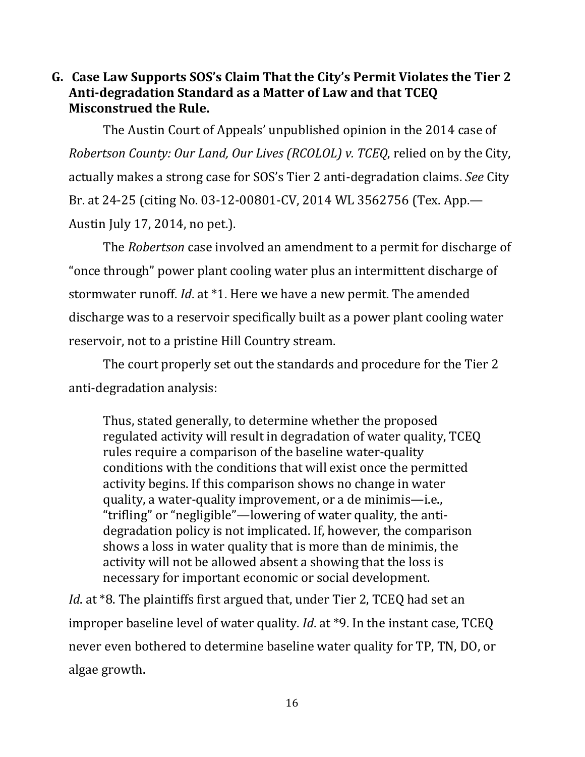## **G. Case Law Supports SOS's Claim That the City's Permit Violates the Tier 2 Anti-degradation Standard as a Matter of Law and that TCEQ Misconstrued the Rule.**

The Austin Court of Appeals' unpublished opinion in the 2014 case of *Robertson County: Our Land, Our Lives (RCOLOL) v. TCEQ*, relied on by the City, actually makes a strong case for SOS's Tier 2 anti-degradation claims. *See* City Br. at 24-25 (citing No. 03-12-00801-CV, 2014 WL 3562756 (Tex. App.— Austin July 17, 2014, no pet.).

The *Robertson* case involved an amendment to a permit for discharge of "once through" power plant cooling water plus an intermittent discharge of stormwater runoff. *Id*. at \*1. Here we have a new permit. The amended discharge was to a reservoir specifically built as a power plant cooling water reservoir, not to a pristine Hill Country stream.

The court properly set out the standards and procedure for the Tier 2 anti-degradation analysis:

Thus, stated generally, to determine whether the proposed regulated activity will result in degradation of water quality, TCEQ rules require a comparison of the baseline water-quality conditions with the conditions that will exist once the permitted activity begins. If this comparison shows no change in water quality, a water-quality improvement, or a de minimis—i.e., "trifling" or "negligible"—lowering of water quality, the antidegradation policy is not implicated. If, however, the comparison shows a loss in water quality that is more than de minimis, the activity will not be allowed absent a showing that the loss is necessary for important economic or social development.

*Id*. at \*8. The plaintiffs first argued that, under Tier 2, TCEQ had set an improper baseline level of water quality. *Id*. at \*9. In the instant case, TCEQ never even bothered to determine baseline water quality for TP, TN, DO, or algae growth.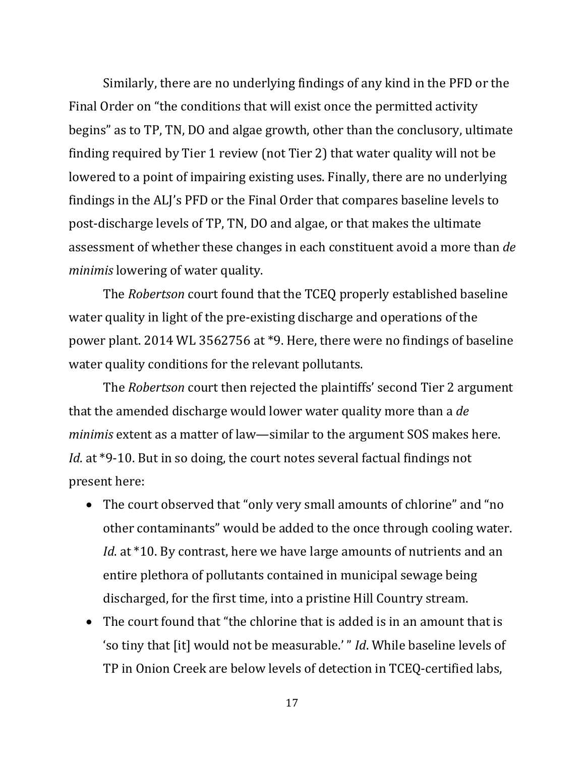Similarly, there are no underlying findings of any kind in the PFD or the Final Order on "the conditions that will exist once the permitted activity begins" as to TP, TN, DO and algae growth, other than the conclusory, ultimate finding required by Tier 1 review (not Tier 2) that water quality will not be lowered to a point of impairing existing uses. Finally, there are no underlying findings in the ALJ's PFD or the Final Order that compares baseline levels to post-discharge levels of TP, TN, DO and algae, or that makes the ultimate assessment of whether these changes in each constituent avoid a more than *de minimis* lowering of water quality.

The *Robertson* court found that the TCEQ properly established baseline water quality in light of the pre-existing discharge and operations of the power plant. 2014 WL 3562756 at \*9. Here, there were no findings of baseline water quality conditions for the relevant pollutants.

The *Robertson* court then rejected the plaintiffs' second Tier 2 argument that the amended discharge would lower water quality more than a *de minimis* extent as a matter of law—similar to the argument SOS makes here. *Id.* at \*9-10. But in so doing, the court notes several factual findings not present here:

- The court observed that "only very small amounts of chlorine" and "no other contaminants" would be added to the once through cooling water. *Id*. at \*10. By contrast, here we have large amounts of nutrients and an entire plethora of pollutants contained in municipal sewage being discharged, for the first time, into a pristine Hill Country stream.
- The court found that "the chlorine that is added is in an amount that is 'so tiny that [it] would not be measurable.' " *Id*. While baseline levels of TP in Onion Creek are below levels of detection in TCEQ-certified labs,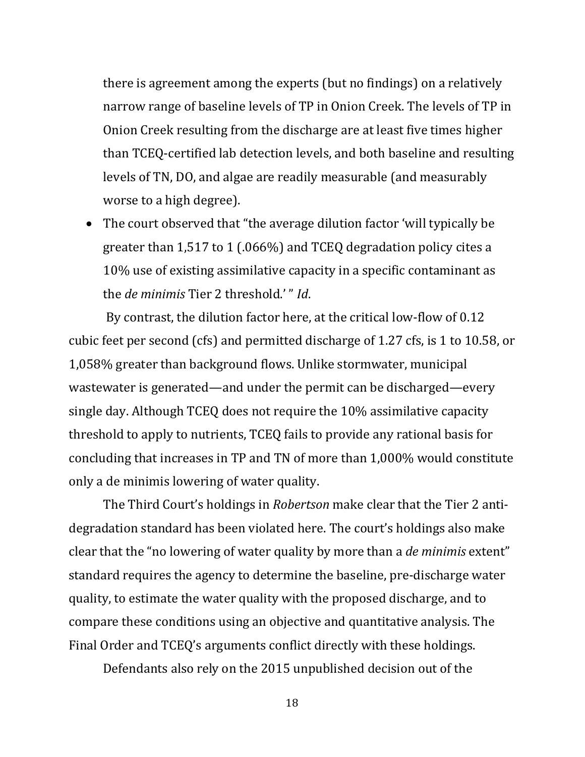there is agreement among the experts (but no findings) on a relatively narrow range of baseline levels of TP in Onion Creek. The levels of TP in Onion Creek resulting from the discharge are at least five times higher than TCEQ-certified lab detection levels, and both baseline and resulting levels of TN, DO, and algae are readily measurable (and measurably worse to a high degree).

• The court observed that "the average dilution factor 'will typically be greater than 1,517 to 1 (.066%) and TCEQ degradation policy cites a 10% use of existing assimilative capacity in a specific contaminant as the *de minimis* Tier 2 threshold.' " *Id*.

By contrast, the dilution factor here, at the critical low-flow of 0.12 cubic feet per second (cfs) and permitted discharge of 1.27 cfs, is 1 to 10.58, or 1,058% greater than background flows. Unlike stormwater, municipal wastewater is generated—and under the permit can be discharged—every single day. Although TCEQ does not require the 10% assimilative capacity threshold to apply to nutrients, TCEQ fails to provide any rational basis for concluding that increases in TP and TN of more than 1,000% would constitute only a de minimis lowering of water quality.

The Third Court's holdings in *Robertson* make clear that the Tier 2 antidegradation standard has been violated here. The court's holdings also make clear that the "no lowering of water quality by more than a *de minimis* extent" standard requires the agency to determine the baseline, pre-discharge water quality, to estimate the water quality with the proposed discharge, and to compare these conditions using an objective and quantitative analysis. The Final Order and TCEQ's arguments conflict directly with these holdings.

Defendants also rely on the 2015 unpublished decision out of the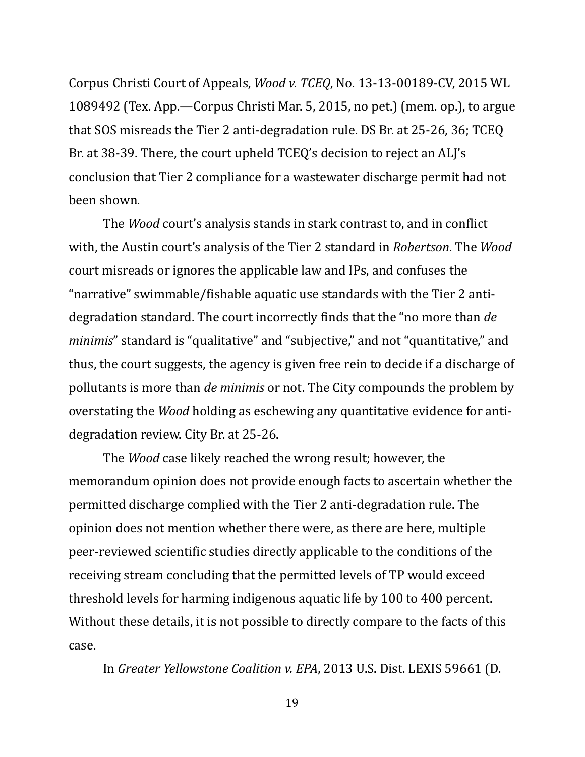Corpus Christi Court of Appeals, *Wood v. TCEQ*, No. 13-13-00189-CV, 2015 WL 1089492 (Tex. App.—Corpus Christi Mar. 5, 2015, no pet.) (mem. op.), to argue that SOS misreads the Tier 2 anti-degradation rule. DS Br. at 25-26, 36; TCEQ Br. at 38-39. There, the court upheld TCEQ's decision to reject an ALJ's conclusion that Tier 2 compliance for a wastewater discharge permit had not been shown.

The *Wood* court's analysis stands in stark contrast to, and in conflict with, the Austin court's analysis of the Tier 2 standard in *Robertson*. The *Wood*  court misreads or ignores the applicable law and IPs, and confuses the "narrative" swimmable/fishable aquatic use standards with the Tier 2 antidegradation standard. The court incorrectly finds that the "no more than *de minimis*" standard is "qualitative" and "subjective," and not "quantitative," and thus, the court suggests, the agency is given free rein to decide if a discharge of pollutants is more than *de minimis* or not. The City compounds the problem by overstating the *Wood* holding as eschewing any quantitative evidence for antidegradation review. City Br. at 25-26.

The *Wood* case likely reached the wrong result; however, the memorandum opinion does not provide enough facts to ascertain whether the permitted discharge complied with the Tier 2 anti-degradation rule. The opinion does not mention whether there were, as there are here, multiple peer-reviewed scientific studies directly applicable to the conditions of the receiving stream concluding that the permitted levels of TP would exceed threshold levels for harming indigenous aquatic life by 100 to 400 percent. Without these details, it is not possible to directly compare to the facts of this case.

In *Greater Yellowstone Coalition v. EPA*, 2013 U.S. Dist. LEXIS 59661 (D.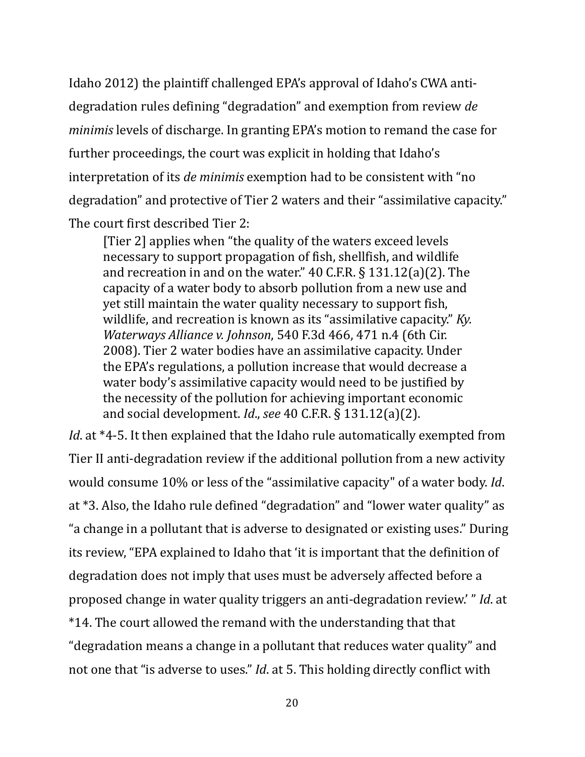Idaho 2012) the plaintiff challenged EPA's approval of Idaho's CWA antidegradation rules defining "degradation" and exemption from review *de minimis* levels of discharge. In granting EPA's motion to remand the case for further proceedings, the court was explicit in holding that Idaho's interpretation of its *de minimis* exemption had to be consistent with "no degradation" and protective of Tier 2 waters and their "assimilative capacity." The court first described Tier 2:

[Tier 2] applies when "the quality of the waters exceed levels necessary to support propagation of fish, shellfish, and wildlife and recreation in and on the water." 40 C.F.R. § 131.12(a)(2). The capacity of a water body to absorb pollution from a new use and yet still maintain the water quality necessary to support fish, wildlife, and recreation is known as its "assimilative capacity." *Ky. Waterways Alliance v. Johnson*, 540 F.3d 466, 471 n.4 (6th Cir. 2008). Tier 2 water bodies have an assimilative capacity. Under the EPA's regulations, a pollution increase that would decrease a water body's assimilative capacity would need to be justified by the necessity of the pollution for achieving important economic and social development. *Id*., *see* 40 C.F.R. § 131.12(a)(2).

*Id*. at \*4-5. It then explained that the Idaho rule automatically exempted from Tier II anti-degradation review if the additional pollution from a new activity would consume 10% or less of the "assimilative capacity" of a water body. *Id*. at \*3. Also, the Idaho rule defined "degradation" and "lower water quality" as "a change in a pollutant that is adverse to designated or existing uses." During its review, "EPA explained to Idaho that 'it is important that the definition of degradation does not imply that uses must be adversely affected before a proposed change in water quality triggers an anti-degradation review.' " *Id*. at \*14. The court allowed the remand with the understanding that that "degradation means a change in a pollutant that reduces water quality" and not one that "is adverse to uses." *Id*. at 5. This holding directly conflict with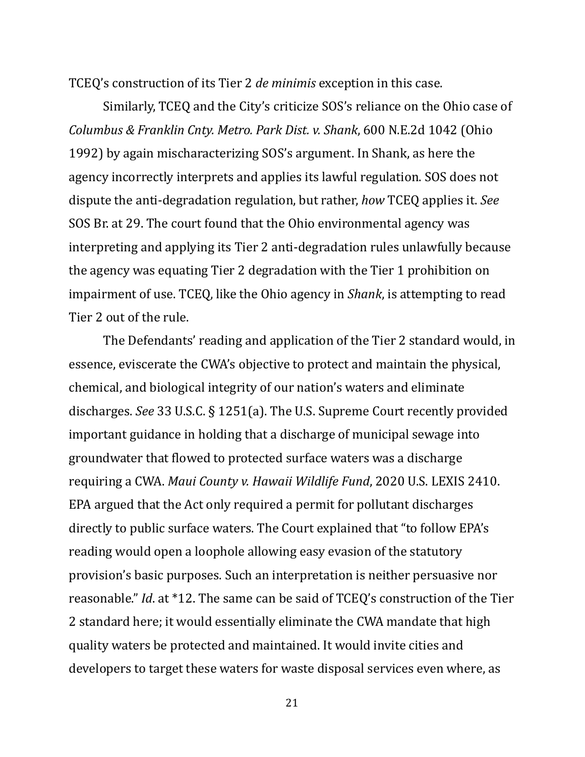TCEQ's construction of its Tier 2 *de minimis* exception in this case.

Similarly, TCEQ and the City's criticize SOS's reliance on the Ohio case of *Columbus & Franklin Cnty. Metro. Park Dist. v. Shank*, 600 N.E.2d 1042 (Ohio 1992) by again mischaracterizing SOS's argument. In Shank, as here the agency incorrectly interprets and applies its lawful regulation. SOS does not dispute the anti-degradation regulation, but rather, *how* TCEQ applies it. *See* SOS Br. at 29. The court found that the Ohio environmental agency was interpreting and applying its Tier 2 anti-degradation rules unlawfully because the agency was equating Tier 2 degradation with the Tier 1 prohibition on impairment of use. TCEQ, like the Ohio agency in *Shank*, is attempting to read Tier 2 out of the rule.

The Defendants' reading and application of the Tier 2 standard would, in essence, eviscerate the CWA's objective to protect and maintain the physical, chemical, and biological integrity of our nation's waters and eliminate discharges. *See* 33 U.S.C. § 1251(a). The U.S. Supreme Court recently provided important guidance in holding that a discharge of municipal sewage into groundwater that flowed to protected surface waters was a discharge requiring a CWA. *Maui County v. Hawaii Wildlife Fund*, 2020 U.S. LEXIS 2410. EPA argued that the Act only required a permit for pollutant discharges directly to public surface waters. The Court explained that "to follow EPA's reading would open a loophole allowing easy evasion of the statutory provision's basic purposes. Such an interpretation is neither persuasive nor reasonable." *Id*. at \*12. The same can be said of TCEQ's construction of the Tier 2 standard here; it would essentially eliminate the CWA mandate that high quality waters be protected and maintained. It would invite cities and developers to target these waters for waste disposal services even where, as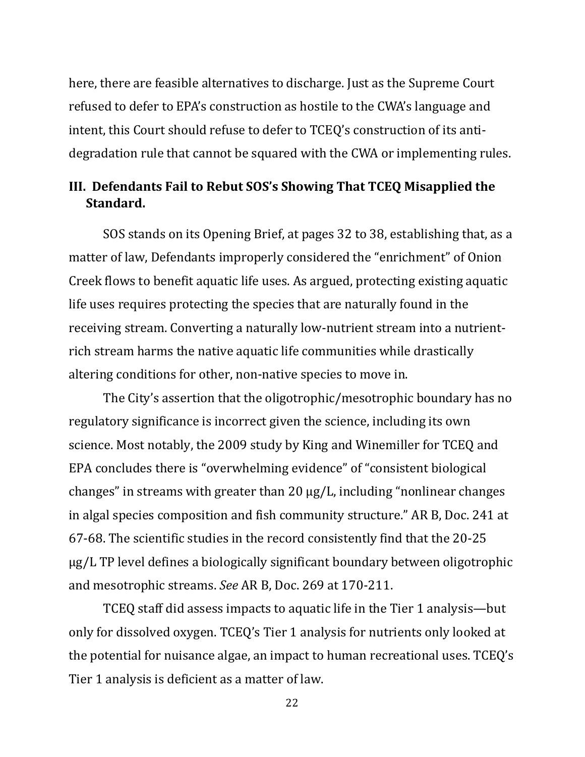here, there are feasible alternatives to discharge. Just as the Supreme Court refused to defer to EPA's construction as hostile to the CWA's language and intent, this Court should refuse to defer to TCEQ's construction of its antidegradation rule that cannot be squared with the CWA or implementing rules.

# **III. Defendants Fail to Rebut SOS's Showing That TCEQ Misapplied the Standard.**

SOS stands on its Opening Brief, at pages 32 to 38, establishing that, as a matter of law, Defendants improperly considered the "enrichment" of Onion Creek flows to benefit aquatic life uses. As argued, protecting existing aquatic life uses requires protecting the species that are naturally found in the receiving stream. Converting a naturally low-nutrient stream into a nutrientrich stream harms the native aquatic life communities while drastically altering conditions for other, non-native species to move in.

The City's assertion that the oligotrophic/mesotrophic boundary has no regulatory significance is incorrect given the science, including its own science. Most notably, the 2009 study by King and Winemiller for TCEQ and EPA concludes there is "overwhelming evidence" of "consistent biological changes" in streams with greater than 20 µg/L, including "nonlinear changes in algal species composition and fish community structure." AR B, Doc. 241 at 67-68. The scientific studies in the record consistently find that the 20-25 µg/L TP level defines a biologically significant boundary between oligotrophic and mesotrophic streams. *See* AR B, Doc. 269 at 170-211.

TCEQ staff did assess impacts to aquatic life in the Tier 1 analysis—but only for dissolved oxygen. TCEQ's Tier 1 analysis for nutrients only looked at the potential for nuisance algae, an impact to human recreational uses. TCEQ's Tier 1 analysis is deficient as a matter of law.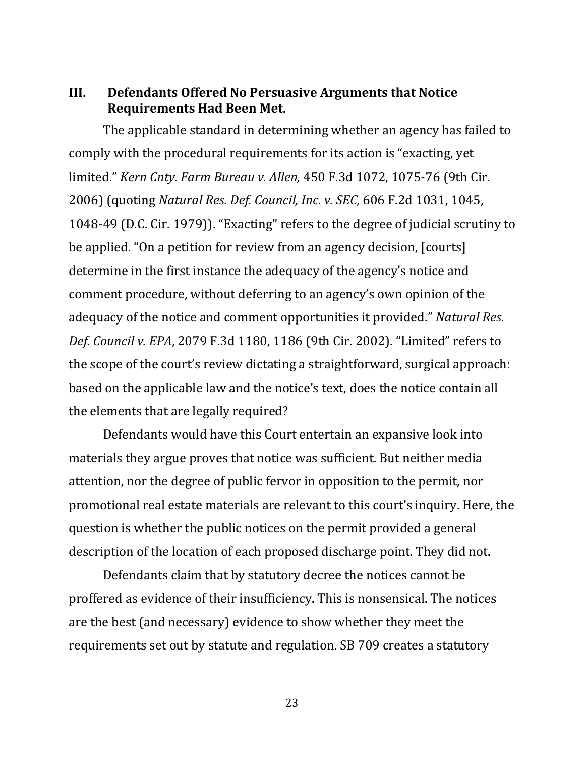### **III. Defendants Offered No Persuasive Arguments that Notice Requirements Had Been Met.**

The applicable standard in determining whether an agency has failed to comply with the procedural requirements for its action is "exacting, yet limited." *Kern Cnty. Farm Bureau v. Allen,* 450 F.3d 1072, 1075-76 (9th Cir. 2006) (quoting *Natural Res. Def. Council, Inc. v. SEC,* 606 F.2d 1031, 1045, 1048-49 (D.C. Cir. 1979)). "Exacting" refers to the degree of judicial scrutiny to be applied. "On a petition for review from an agency decision, [courts] determine in the first instance the adequacy of the agency's notice and comment procedure, without deferring to an agency's own opinion of the adequacy of the notice and comment opportunities it provided." *Natural Res. Def. Council v. EPA*, 2079 F.3d 1180, 1186 (9th Cir. 2002). "Limited" refers to the scope of the court's review dictating a straightforward, surgical approach: based on the applicable law and the notice's text, does the notice contain all the elements that are legally required?

Defendants would have this Court entertain an expansive look into materials they argue proves that notice was sufficient. But neither media attention, nor the degree of public fervor in opposition to the permit, nor promotional real estate materials are relevant to this court's inquiry. Here, the question is whether the public notices on the permit provided a general description of the location of each proposed discharge point. They did not.

Defendants claim that by statutory decree the notices cannot be proffered as evidence of their insufficiency. This is nonsensical. The notices are the best (and necessary) evidence to show whether they meet the requirements set out by statute and regulation. SB 709 creates a statutory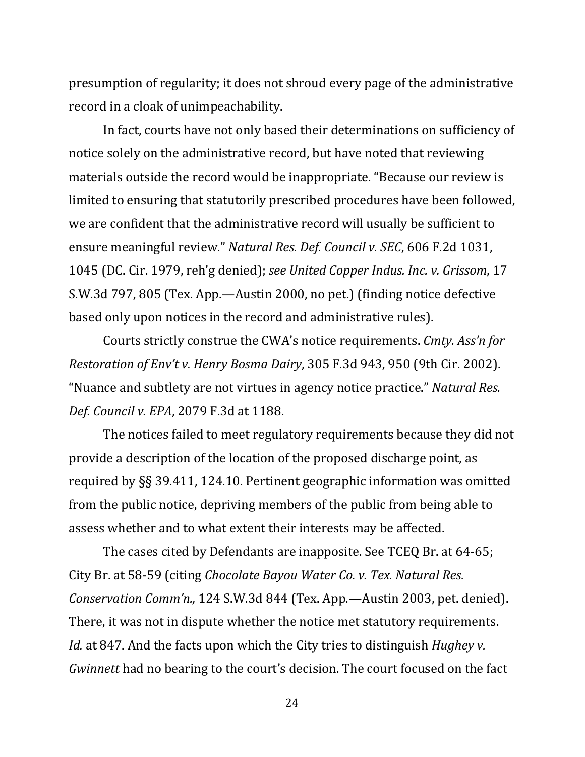presumption of regularity; it does not shroud every page of the administrative record in a cloak of unimpeachability.

In fact, courts have not only based their determinations on sufficiency of notice solely on the administrative record, but have noted that reviewing materials outside the record would be inappropriate. "Because our review is limited to ensuring that statutorily prescribed procedures have been followed, we are confident that the administrative record will usually be sufficient to ensure meaningful review." *Natural Res. Def. Council v. SEC*, 606 F.2d 1031, 1045 (DC. Cir. 1979, reh'g denied); *see United Copper Indus. Inc. v. Grissom*, 17 S.W.3d 797, 805 (Tex. App.—Austin 2000, no pet.) (finding notice defective based only upon notices in the record and administrative rules).

Courts strictly construe the CWA's notice requirements. *Cmty. Ass'n for Restoration of Env't v. Henry Bosma Dairy*, 305 F.3d 943, 950 (9th Cir. 2002). "Nuance and subtlety are not virtues in agency notice practice." *Natural Res. Def. Council v. EPA*, 2079 F.3d at 1188.

The notices failed to meet regulatory requirements because they did not provide a description of the location of the proposed discharge point, as required by §§ 39.411, 124.10. Pertinent geographic information was omitted from the public notice, depriving members of the public from being able to assess whether and to what extent their interests may be affected.

The cases cited by Defendants are inapposite. See TCEQ Br. at 64-65; City Br. at 58-59 (citing *Chocolate Bayou Water Co. v. Tex. Natural Res. Conservation Comm'n.,* 124 S.W.3d 844 (Tex. App.—Austin 2003, pet. denied). There, it was not in dispute whether the notice met statutory requirements. *Id.* at 847. And the facts upon which the City tries to distinguish *Hughey v. Gwinnett* had no bearing to the court's decision. The court focused on the fact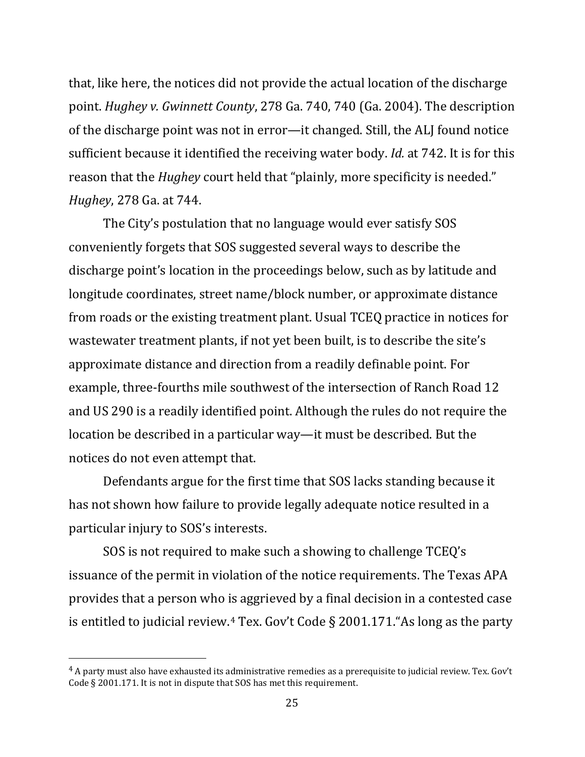that, like here, the notices did not provide the actual location of the discharge point. *Hughey v. Gwinnett County*, 278 Ga. 740, 740 (Ga. 2004). The description of the discharge point was not in error—it changed. Still, the ALJ found notice sufficient because it identified the receiving water body. *Id.* at 742. It is for this reason that the *Hughey* court held that "plainly, more specificity is needed." *Hughey*, 278 Ga. at 744.

The City's postulation that no language would ever satisfy SOS conveniently forgets that SOS suggested several ways to describe the discharge point's location in the proceedings below, such as by latitude and longitude coordinates, street name/block number, or approximate distance from roads or the existing treatment plant. Usual TCEQ practice in notices for wastewater treatment plants, if not yet been built, is to describe the site's approximate distance and direction from a readily definable point. For example, three-fourths mile southwest of the intersection of Ranch Road 12 and US 290 is a readily identified point. Although the rules do not require the location be described in a particular way—it must be described. But the notices do not even attempt that.

Defendants argue for the first time that SOS lacks standing because it has not shown how failure to provide legally adequate notice resulted in a particular injury to SOS's interests.

SOS is not required to make such a showing to challenge TCEQ's issuance of the permit in violation of the notice requirements. The Texas APA provides that a person who is aggrieved by a final decision in a contested case is entitled to judicial review.[4](#page-27-0) Tex. Gov't Code § 2001.171."As long as the party

<span id="page-27-0"></span> $4$  A party must also have exhausted its administrative remedies as a prerequisite to judicial review. Tex. Gov't Code § 2001.171. It is not in dispute that SOS has met this requirement.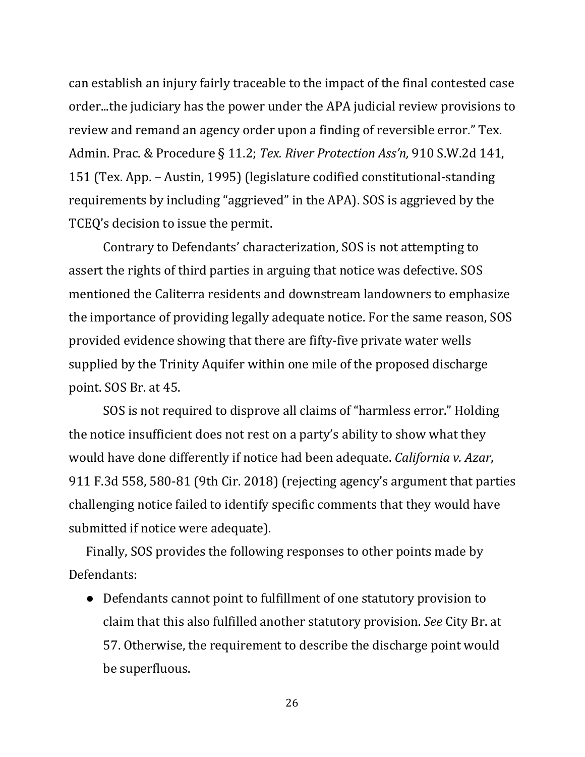can establish an injury fairly traceable to the impact of the final contested case order...the judiciary has the power under the APA judicial review provisions to review and remand an agency order upon a finding of reversible error." Tex. Admin. Prac. & Procedure § 11.2; *Tex. River Protection Ass'n,* 910 S.W.2d 141, 151 (Tex. App. *–* Austin, 1995) (legislature codified constitutional-standing requirements by including "aggrieved" in the APA). SOS is aggrieved by the TCEQ's decision to issue the permit.

Contrary to Defendants' characterization, SOS is not attempting to assert the rights of third parties in arguing that notice was defective. SOS mentioned the Caliterra residents and downstream landowners to emphasize the importance of providing legally adequate notice. For the same reason, SOS provided evidence showing that there are fifty-five private water wells supplied by the Trinity Aquifer within one mile of the proposed discharge point. SOS Br. at 45.

SOS is not required to disprove all claims of "harmless error." Holding the notice insufficient does not rest on a party's ability to show what they would have done differently if notice had been adequate. *California v. Azar*, 911 F.3d 558, 580-81 (9th Cir. 2018) (rejecting agency's argument that parties challenging notice failed to identify specific comments that they would have submitted if notice were adequate).

Finally, SOS provides the following responses to other points made by Defendants:

● Defendants cannot point to fulfillment of one statutory provision to claim that this also fulfilled another statutory provision. *See* City Br. at 57. Otherwise, the requirement to describe the discharge point would be superfluous.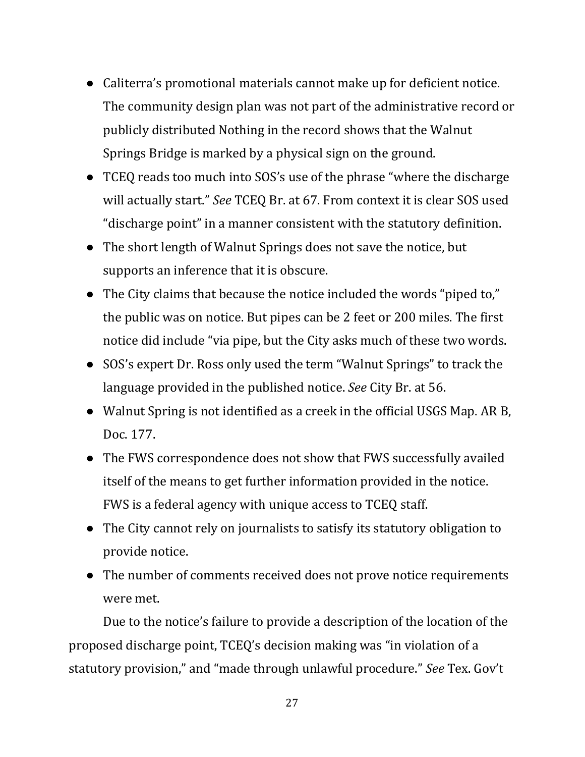- Caliterra's promotional materials cannot make up for deficient notice. The community design plan was not part of the administrative record or publicly distributed Nothing in the record shows that the Walnut Springs Bridge is marked by a physical sign on the ground.
- TCEQ reads too much into SOS's use of the phrase "where the discharge will actually start." *See* TCEQ Br. at 67. From context it is clear SOS used "discharge point" in a manner consistent with the statutory definition.
- The short length of Walnut Springs does not save the notice, but supports an inference that it is obscure.
- The City claims that because the notice included the words "piped to," the public was on notice. But pipes can be 2 feet or 200 miles. The first notice did include "via pipe, but the City asks much of these two words.
- SOS's expert Dr. Ross only used the term "Walnut Springs" to track the language provided in the published notice. *See* City Br. at 56.
- Walnut Spring is not identified as a creek in the official USGS Map. AR B, Doc. 177.
- The FWS correspondence does not show that FWS successfully availed itself of the means to get further information provided in the notice. FWS is a federal agency with unique access to TCEQ staff.
- The City cannot rely on journalists to satisfy its statutory obligation to provide notice.
- The number of comments received does not prove notice requirements were met.

Due to the notice's failure to provide a description of the location of the proposed discharge point, TCEQ's decision making was "in violation of a statutory provision," and "made through unlawful procedure." *See* Tex. Gov't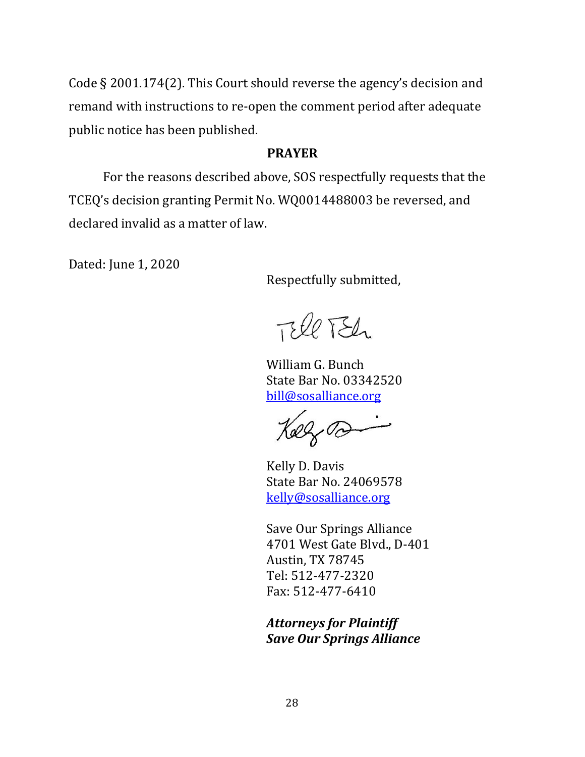Code § 2001.174(2). This Court should reverse the agency's decision and remand with instructions to re-open the comment period after adequate public notice has been published.

#### **PRAYER**

For the reasons described above, SOS respectfully requests that the TCEQ's decision granting Permit No. WQ0014488003 be reversed, and declared invalid as a matter of law.

Dated: June 1, 2020

Respectfully submitted,

TEll TEL

William G. Bunch State Bar No. 03342520 [bill@sosalliance.org](mailto:bill@sosalliance.org)

29,00

Kelly D. Davis State Bar No. 24069578 [kelly@sosalliance.org](mailto:kelly@sosalliance.org)

Save Our Springs Alliance 4701 West Gate Blvd., D-401 Austin, TX 78745 Tel: 512-477-2320 Fax: 512-477-6410

*Attorneys for Plaintiff Save Our Springs Alliance*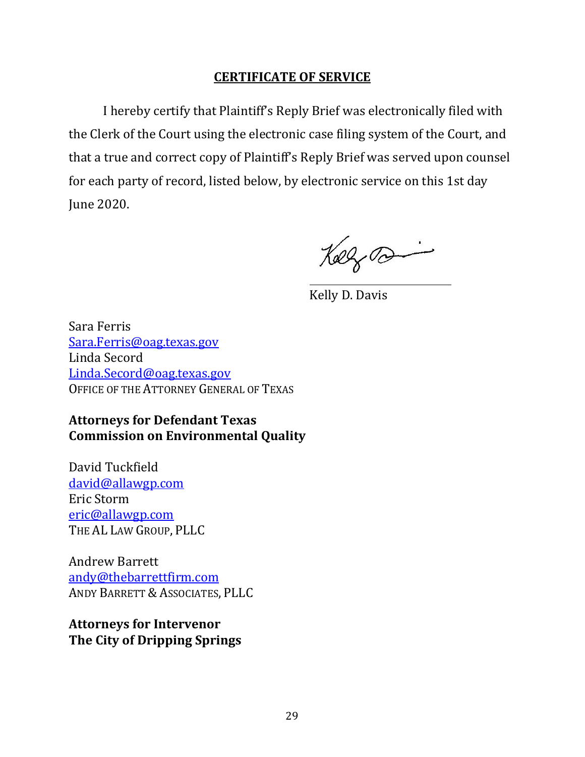## **CERTIFICATE OF SERVICE**

I hereby certify that Plaintiff's Reply Brief was electronically filed with the Clerk of the Court using the electronic case filing system of the Court, and that a true and correct copy of Plaintiff's Reply Brief was served upon counsel for each party of record, listed below, by electronic service on this 1st day June 2020.

Keezo

Kelly D. Davis

Sara Ferris [Sara.Ferris@oag.texas.gov](mailto:Sara.Ferris@oag.texas.gov) Linda Secord [Linda.Secord@oag.texas.gov](mailto:Linda.Secord@oag.texas.gov) OFFICE OF THE ATTORNEY GENERAL OF TEXAS

## **Attorneys for Defendant Texas Commission on Environmental Quality**

David Tuckfield [david@allawgp.com](mailto:david@allawgp.com) Eric Storm [eric@allawgp.com](mailto:eric@allawgp.com) THE AL LAW GROUP, PLLC

Andrew Barrett [andy@thebarrettfirm.com](mailto:andy@thebarrettfirm.com) ANDY BARRETT & ASSOCIATES, PLLC

**Attorneys for Intervenor The City of Dripping Springs**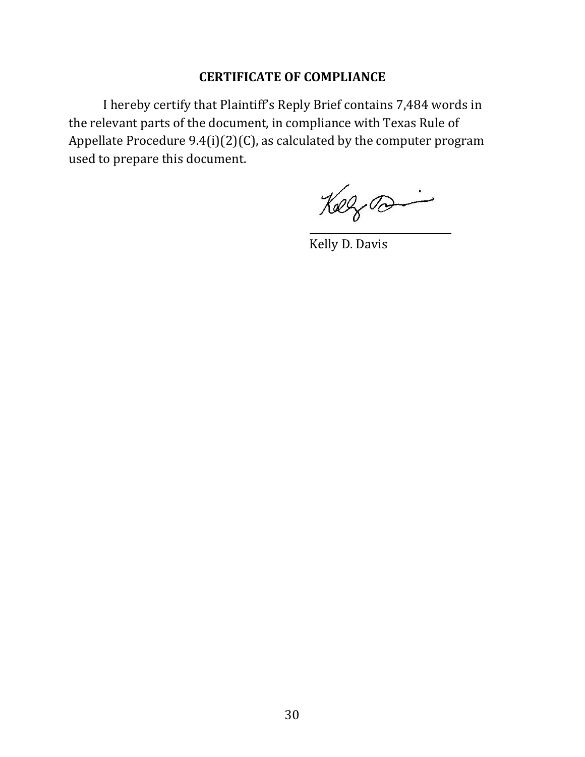## **CERTIFICATE OF COMPLIANCE**

I hereby certify that Plaintiff's Reply Brief contains 7,484 words in the relevant parts of the document, in compliance with Texas Rule of Appellate Procedure 9.4(i)(2)(C), as calculated by the computer program used to prepare this document.

Kolfra

Kelly D. Davis